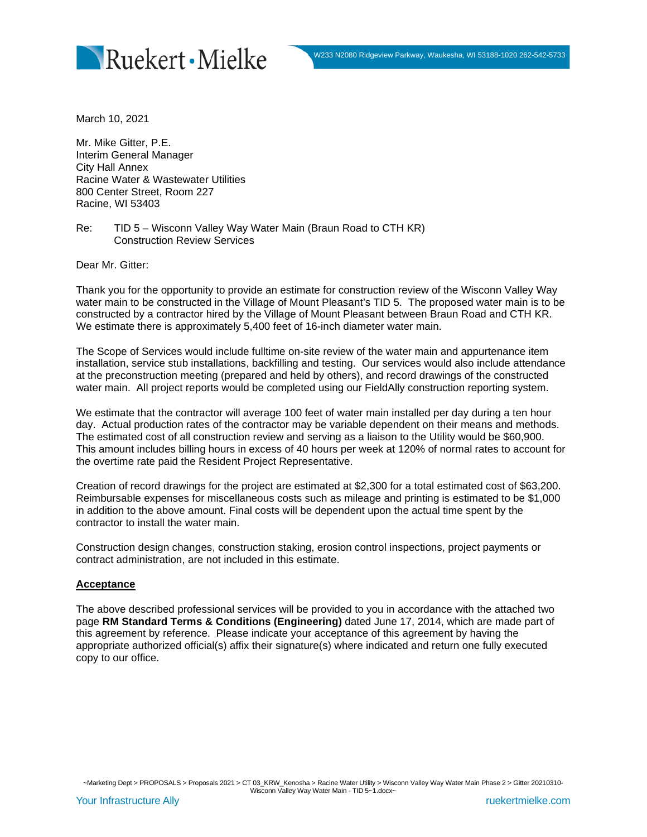March 10, 2021

Mr. Mike Gitter, P.E. Interim General Manager City Hall Annex Racine Water & Wastewater Utilities 800 Center Street, Room 227 Racine, WI 53403

Re: TID 5 – Wisconn Valley Way Water Main (Braun Road to CTH KR) Construction Review Services

Dear Mr. Gitter:

Thank you for the opportunity to provide an estimate for construction review of the Wisconn Valley Way water main to be constructed in the Village of Mount Pleasant's TID 5. The proposed water main is to be constructed by a contractor hired by the Village of Mount Pleasant between Braun Road and CTH KR. We estimate there is approximately 5,400 feet of 16-inch diameter water main.

The Scope of Services would include fulltime on-site review of the water main and appurtenance item installation, service stub installations, backfilling and testing. Our services would also include attendance at the preconstruction meeting (prepared and held by others), and record drawings of the constructed water main. All project reports would be completed using our FieldAlly construction reporting system.

We estimate that the contractor will average 100 feet of water main installed per day during a ten hour day. Actual production rates of the contractor may be variable dependent on their means and methods. The estimated cost of all construction review and serving as a liaison to the Utility would be \$60,900. This amount includes billing hours in excess of 40 hours per week at 120% of normal rates to account for the overtime rate paid the Resident Project Representative.

Creation of record drawings for the project are estimated at \$2,300 for a total estimated cost of \$63,200. Reimbursable expenses for miscellaneous costs such as mileage and printing is estimated to be \$1,000 in addition to the above amount. Final costs will be dependent upon the actual time spent by the contractor to install the water main.

Construction design changes, construction staking, erosion control inspections, project payments or contract administration, are not included in this estimate.

### **Acceptance**

The above described professional services will be provided to you in accordance with the attached two page **RM Standard Terms & Conditions (Engineering)** dated June 17, 2014, which are made part of this agreement by reference. Please indicate your acceptance of this agreement by having the appropriate authorized official(s) affix their signature(s) where indicated and return one fully executed copy to our office.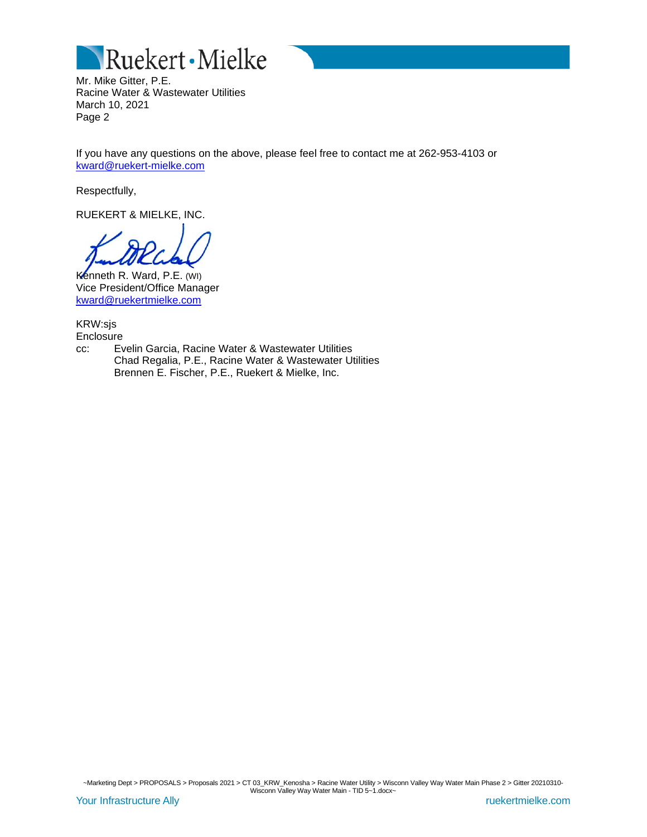

Mr. Mike Gitter, P.E. Racine Water & Wastewater Utilities March 10, 2021 Page 2

If you have any questions on the above, please feel free to contact me at 262-953-4103 or [kward@ruekert-mielke.com](mailto:kward@ruekert-mielke.com)

Respectfully,

RUEKERT & MIELKE, INC.

Kenneth R. Ward, P.E. (WI) Vice President/Office Manager [kward@ruekertmielke.com](mailto:kward@ruekertmielke.com)

KRW:sjs Enclosure cc: Evelin Garcia, Racine Water & Wastewater Utilities Chad Regalia, P.E., Racine Water & Wastewater Utilities Brennen E. Fischer, P.E., Ruekert & Mielke, Inc.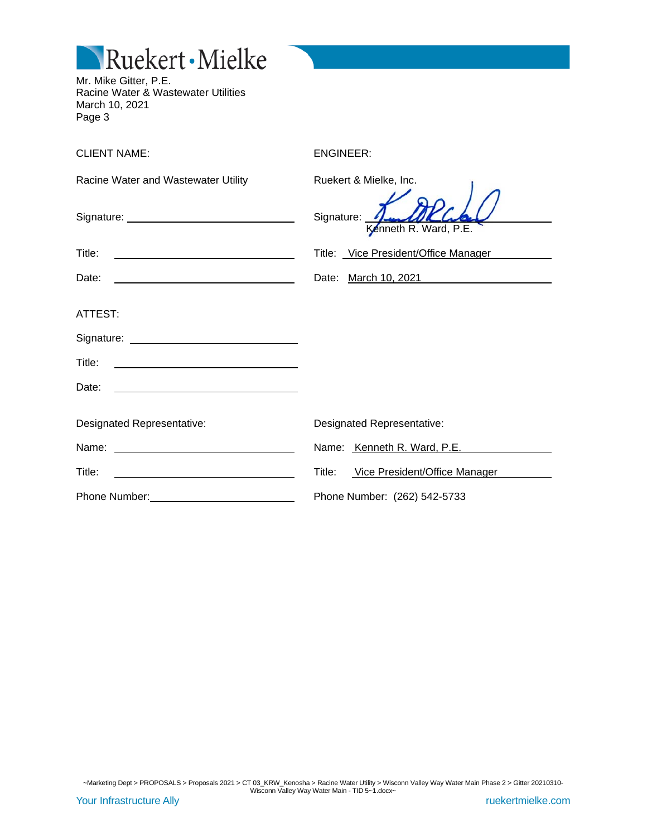

Mr. Mike Gitter, P.E. Racine Water & Wastewater Utilities March 10, 2021 Page 3

| <b>CLIENT NAME:</b>                                                 | <b>ENGINEER:</b>                        |
|---------------------------------------------------------------------|-----------------------------------------|
| Racine Water and Wastewater Utility                                 | Ruekert & Mielke, Inc.                  |
|                                                                     | Signature:<br>Kenneth R. Ward, P.E.     |
| Title:                                                              | Title: Vice President/Office Manager    |
| Date:                                                               | Date: March 10, 2021                    |
| ATTEST:                                                             |                                         |
|                                                                     |                                         |
| Title:<br><u> 1990 - Johann Barbara, martin amerikan personal (</u> |                                         |
| Date:                                                               |                                         |
| Designated Representative:                                          | Designated Representative:              |
|                                                                     | Name: Kenneth R. Ward, P.E.             |
| Title:                                                              | Vice President/Office Manager<br>Title: |
| Phone Number: 1999                                                  | Phone Number: (262) 542-5733            |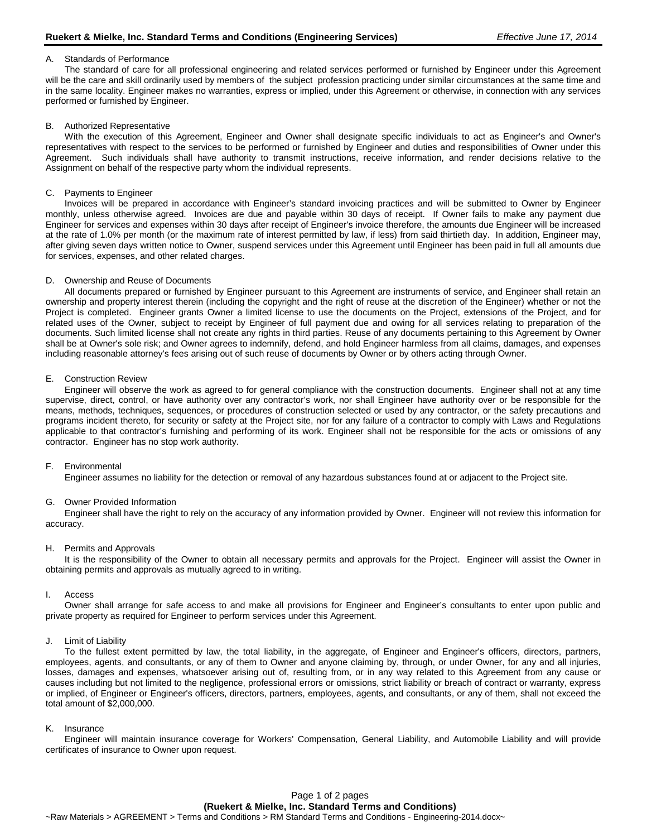### A. Standards of Performance

The standard of care for all professional engineering and related services performed or furnished by Engineer under this Agreement will be the care and skill ordinarily used by members of the subject profession practicing under similar circumstances at the same time and in the same locality. Engineer makes no warranties, express or implied, under this Agreement or otherwise, in connection with any services performed or furnished by Engineer.

### B. Authorized Representative

With the execution of this Agreement, Engineer and Owner shall designate specific individuals to act as Engineer's and Owner's representatives with respect to the services to be performed or furnished by Engineer and duties and responsibilities of Owner under this Agreement. Such individuals shall have authority to transmit instructions, receive information, and render decisions relative to the Assignment on behalf of the respective party whom the individual represents.

### C. Payments to Engineer

Invoices will be prepared in accordance with Engineer's standard invoicing practices and will be submitted to Owner by Engineer monthly, unless otherwise agreed. Invoices are due and payable within 30 days of receipt. If Owner fails to make any payment due Engineer for services and expenses within 30 days after receipt of Engineer's invoice therefore, the amounts due Engineer will be increased at the rate of 1.0% per month (or the maximum rate of interest permitted by law, if less) from said thirtieth day. In addition, Engineer may, after giving seven days written notice to Owner, suspend services under this Agreement until Engineer has been paid in full all amounts due for services, expenses, and other related charges.

### D. Ownership and Reuse of Documents

All documents prepared or furnished by Engineer pursuant to this Agreement are instruments of service, and Engineer shall retain an ownership and property interest therein (including the copyright and the right of reuse at the discretion of the Engineer) whether or not the Project is completed. Engineer grants Owner a limited license to use the documents on the Project, extensions of the Project, and for related uses of the Owner, subject to receipt by Engineer of full payment due and owing for all services relating to preparation of the documents. Such limited license shall not create any rights in third parties. Reuse of any documents pertaining to this Agreement by Owner shall be at Owner's sole risk; and Owner agrees to indemnify, defend, and hold Engineer harmless from all claims, damages, and expenses including reasonable attorney's fees arising out of such reuse of documents by Owner or by others acting through Owner.

#### E. Construction Review

Engineer will observe the work as agreed to for general compliance with the construction documents. Engineer shall not at any time supervise, direct, control, or have authority over any contractor's work, nor shall Engineer have authority over or be responsible for the means, methods, techniques, sequences, or procedures of construction selected or used by any contractor, or the safety precautions and programs incident thereto, for security or safety at the Project site, nor for any failure of a contractor to comply with Laws and Regulations applicable to that contractor's furnishing and performing of its work. Engineer shall not be responsible for the acts or omissions of any contractor. Engineer has no stop work authority.

#### F. Environmental

Engineer assumes no liability for the detection or removal of any hazardous substances found at or adjacent to the Project site.

#### G. Owner Provided Information

Engineer shall have the right to rely on the accuracy of any information provided by Owner. Engineer will not review this information for accuracy.

#### H. Permits and Approvals

It is the responsibility of the Owner to obtain all necessary permits and approvals for the Project. Engineer will assist the Owner in obtaining permits and approvals as mutually agreed to in writing.

#### I. Access

Owner shall arrange for safe access to and make all provisions for Engineer and Engineer's consultants to enter upon public and private property as required for Engineer to perform services under this Agreement.

#### J. Limit of Liability

To the fullest extent permitted by law, the total liability, in the aggregate, of Engineer and Engineer's officers, directors, partners, employees, agents, and consultants, or any of them to Owner and anyone claiming by, through, or under Owner, for any and all injuries, losses, damages and expenses, whatsoever arising out of, resulting from, or in any way related to this Agreement from any cause or causes including but not limited to the negligence, professional errors or omissions, strict liability or breach of contract or warranty, express or implied, of Engineer or Engineer's officers, directors, partners, employees, agents, and consultants, or any of them, shall not exceed the total amount of \$2,000,000.

#### K. Insurance

Engineer will maintain insurance coverage for Workers' Compensation, General Liability, and Automobile Liability and will provide certificates of insurance to Owner upon request.

# Page 1 of 2 pages **(Ruekert & Mielke, Inc. Standard Terms and Conditions)**

~Raw Materials > AGREEMENT > Terms and Conditions > RM Standard Terms and Conditions - Engineering-2014.docx~